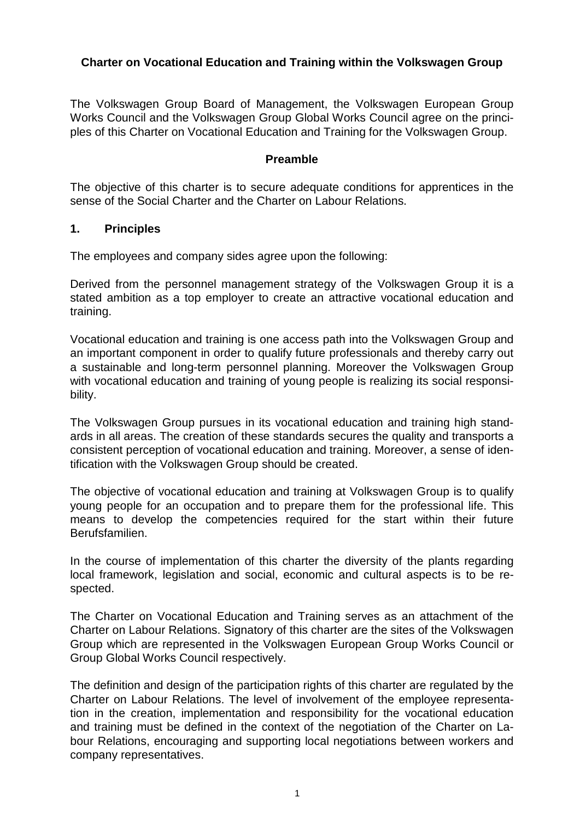### **Charter on Vocational Education and Training within the Volkswagen Group**

The Volkswagen Group Board of Management, the Volkswagen European Group Works Council and the Volkswagen Group Global Works Council agree on the principles of this Charter on Vocational Education and Training for the Volkswagen Group.

#### **Preamble**

The objective of this charter is to secure adequate conditions for apprentices in the sense of the Social Charter and the Charter on Labour Relations.

#### **1. Principles**

The employees and company sides agree upon the following:

Derived from the personnel management strategy of the Volkswagen Group it is a stated ambition as a top employer to create an attractive vocational education and training.

Vocational education and training is one access path into the Volkswagen Group and an important component in order to qualify future professionals and thereby carry out a sustainable and long-term personnel planning. Moreover the Volkswagen Group with vocational education and training of young people is realizing its social responsibility.

The Volkswagen Group pursues in its vocational education and training high standards in all areas. The creation of these standards secures the quality and transports a consistent perception of vocational education and training. Moreover, a sense of identification with the Volkswagen Group should be created.

The objective of vocational education and training at Volkswagen Group is to qualify young people for an occupation and to prepare them for the professional life. This means to develop the competencies required for the start within their future Berufsfamilien.

In the course of implementation of this charter the diversity of the plants regarding local framework, legislation and social, economic and cultural aspects is to be respected.

The Charter on Vocational Education and Training serves as an attachment of the Charter on Labour Relations. Signatory of this charter are the sites of the Volkswagen Group which are represented in the Volkswagen European Group Works Council or Group Global Works Council respectively.

The definition and design of the participation rights of this charter are regulated by the Charter on Labour Relations. The level of involvement of the employee representation in the creation, implementation and responsibility for the vocational education and training must be defined in the context of the negotiation of the Charter on Labour Relations, encouraging and supporting local negotiations between workers and company representatives.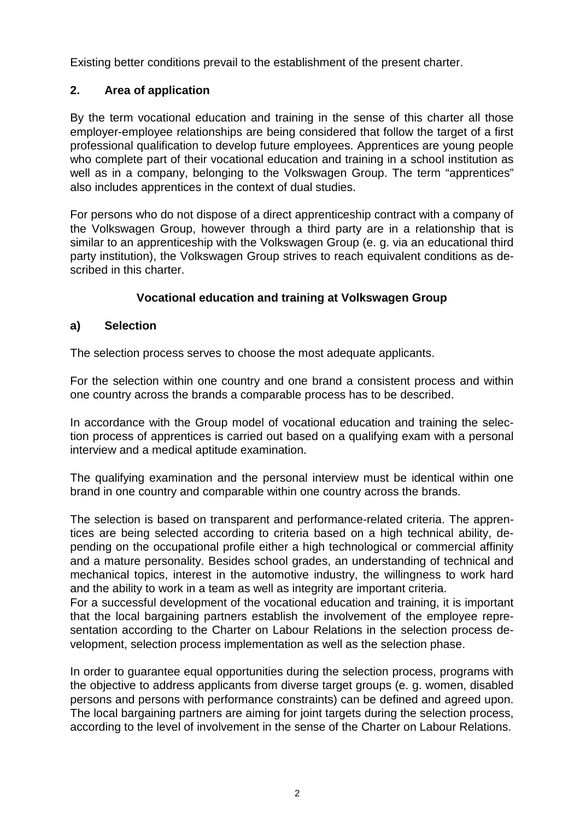Existing better conditions prevail to the establishment of the present charter.

# **2. Area of application**

By the term vocational education and training in the sense of this charter all those employer-employee relationships are being considered that follow the target of a first professional qualification to develop future employees. Apprentices are young people who complete part of their vocational education and training in a school institution as well as in a company, belonging to the Volkswagen Group. The term "apprentices" also includes apprentices in the context of dual studies.

For persons who do not dispose of a direct apprenticeship contract with a company of the Volkswagen Group, however through a third party are in a relationship that is similar to an apprenticeship with the Volkswagen Group (e. g. via an educational third party institution), the Volkswagen Group strives to reach equivalent conditions as described in this charter.

## **Vocational education and training at Volkswagen Group**

## **a) Selection**

The selection process serves to choose the most adequate applicants.

For the selection within one country and one brand a consistent process and within one country across the brands a comparable process has to be described.

In accordance with the Group model of vocational education and training the selection process of apprentices is carried out based on a qualifying exam with a personal interview and a medical aptitude examination.

The qualifying examination and the personal interview must be identical within one brand in one country and comparable within one country across the brands.

The selection is based on transparent and performance-related criteria. The apprentices are being selected according to criteria based on a high technical ability, depending on the occupational profile either a high technological or commercial affinity and a mature personality. Besides school grades, an understanding of technical and mechanical topics, interest in the automotive industry, the willingness to work hard and the ability to work in a team as well as integrity are important criteria.

For a successful development of the vocational education and training, it is important that the local bargaining partners establish the involvement of the employee representation according to the Charter on Labour Relations in the selection process development, selection process implementation as well as the selection phase.

In order to guarantee equal opportunities during the selection process, programs with the objective to address applicants from diverse target groups (e. g. women, disabled persons and persons with performance constraints) can be defined and agreed upon. The local bargaining partners are aiming for joint targets during the selection process, according to the level of involvement in the sense of the Charter on Labour Relations.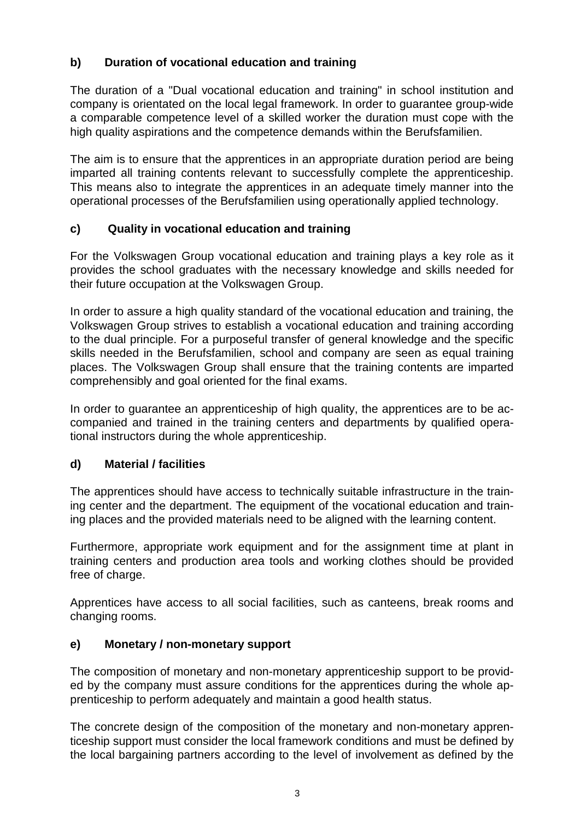# **b) Duration of vocational education and training**

The duration of a "Dual vocational education and training" in school institution and company is orientated on the local legal framework. In order to guarantee group-wide a comparable competence level of a skilled worker the duration must cope with the high quality aspirations and the competence demands within the Berufsfamilien.

The aim is to ensure that the apprentices in an appropriate duration period are being imparted all training contents relevant to successfully complete the apprenticeship. This means also to integrate the apprentices in an adequate timely manner into the operational processes of the Berufsfamilien using operationally applied technology.

## **c) Quality in vocational education and training**

For the Volkswagen Group vocational education and training plays a key role as it provides the school graduates with the necessary knowledge and skills needed for their future occupation at the Volkswagen Group.

In order to assure a high quality standard of the vocational education and training, the Volkswagen Group strives to establish a vocational education and training according to the dual principle. For a purposeful transfer of general knowledge and the specific skills needed in the Berufsfamilien, school and company are seen as equal training places. The Volkswagen Group shall ensure that the training contents are imparted comprehensibly and goal oriented for the final exams.

In order to guarantee an apprenticeship of high quality, the apprentices are to be accompanied and trained in the training centers and departments by qualified operational instructors during the whole apprenticeship.

## **d) Material / facilities**

The apprentices should have access to technically suitable infrastructure in the training center and the department. The equipment of the vocational education and training places and the provided materials need to be aligned with the learning content.

Furthermore, appropriate work equipment and for the assignment time at plant in training centers and production area tools and working clothes should be provided free of charge.

Apprentices have access to all social facilities, such as canteens, break rooms and changing rooms.

#### **e) Monetary / non-monetary support**

The composition of monetary and non-monetary apprenticeship support to be provided by the company must assure conditions for the apprentices during the whole apprenticeship to perform adequately and maintain a good health status.

The concrete design of the composition of the monetary and non-monetary apprenticeship support must consider the local framework conditions and must be defined by the local bargaining partners according to the level of involvement as defined by the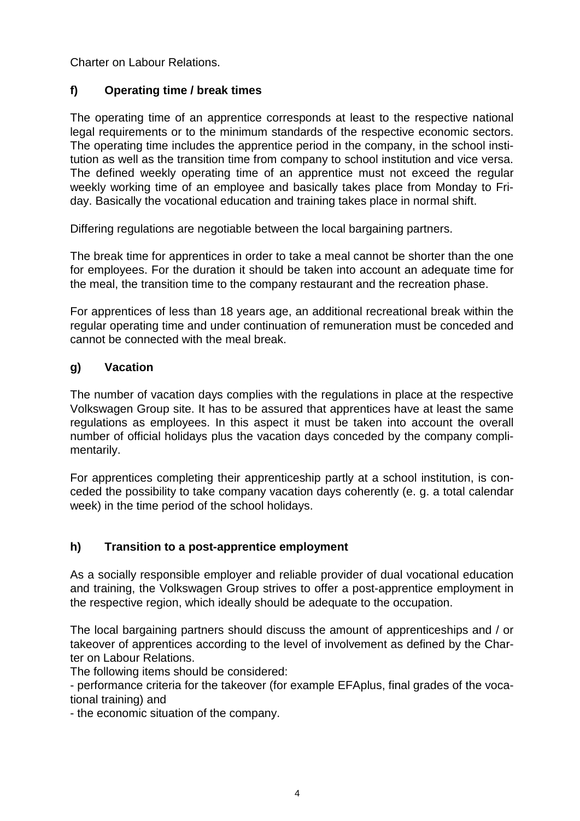Charter on Labour Relations.

## **f) Operating time / break times**

The operating time of an apprentice corresponds at least to the respective national legal requirements or to the minimum standards of the respective economic sectors. The operating time includes the apprentice period in the company, in the school institution as well as the transition time from company to school institution and vice versa. The defined weekly operating time of an apprentice must not exceed the regular weekly working time of an employee and basically takes place from Monday to Friday. Basically the vocational education and training takes place in normal shift.

Differing regulations are negotiable between the local bargaining partners.

The break time for apprentices in order to take a meal cannot be shorter than the one for employees. For the duration it should be taken into account an adequate time for the meal, the transition time to the company restaurant and the recreation phase.

For apprentices of less than 18 years age, an additional recreational break within the regular operating time and under continuation of remuneration must be conceded and cannot be connected with the meal break.

## **g) Vacation**

The number of vacation days complies with the regulations in place at the respective Volkswagen Group site. It has to be assured that apprentices have at least the same regulations as employees. In this aspect it must be taken into account the overall number of official holidays plus the vacation days conceded by the company complimentarily.

For apprentices completing their apprenticeship partly at a school institution, is conceded the possibility to take company vacation days coherently (e. g. a total calendar week) in the time period of the school holidays.

## **h) Transition to a post-apprentice employment**

As a socially responsible employer and reliable provider of dual vocational education and training, the Volkswagen Group strives to offer a post-apprentice employment in the respective region, which ideally should be adequate to the occupation.

The local bargaining partners should discuss the amount of apprenticeships and / or takeover of apprentices according to the level of involvement as defined by the Charter on Labour Relations.

The following items should be considered:

- performance criteria for the takeover (for example EFAplus, final grades of the vocational training) and

- the economic situation of the company.